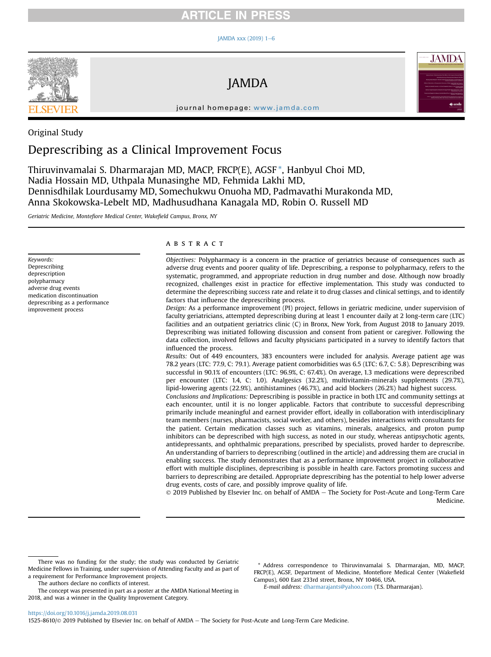#### $IAMDA$  xxx (2019) 1-[6](https://doi.org/10.1016/j.jamda.2019.08.031)



JAMDA



journal homepage: [www.jamda.com](http://www.jamda.com)

### Original Study

# Deprescribing as a Clinical Improvement Focus

Thiruvinvamalai S. Dharmarajan MD, MACP, FRCP(E), AGSF \*, Hanbyul Choi MD, Nadia Hossain MD, Uthpala Munasinghe MD, Fehmida Lakhi MD, Dennisdhilak Lourdusamy MD, Somechukwu Onuoha MD, Padmavathi Murakonda MD, Anna Skokowska-Lebelt MD, Madhusudhana Kanagala MD, Robin O. Russell MD

Geriatric Medicine, Montefiore Medical Center, Wakefield Campus, Bronx, NY

Keywords: Deprescribing deprescription polypharmacy adverse drug events medication discontinuation deprescribing as a performance improvement process

#### **ABSTRACT**

Objectives: Polypharmacy is a concern in the practice of geriatrics because of consequences such as adverse drug events and poorer quality of life. Deprescribing, a response to polypharmacy, refers to the systematic, programmed, and appropriate reduction in drug number and dose. Although now broadly recognized, challenges exist in practice for effective implementation. This study was conducted to determine the deprescribing success rate and relate it to drug classes and clinical settings, and to identify factors that influence the deprescribing process.

Design: As a performance improvement (PI) project, fellows in geriatric medicine, under supervision of faculty geriatricians, attempted deprescribing during at least 1 encounter daily at 2 long-term care (LTC) facilities and an outpatient geriatrics clinic (C) in Bronx, New York, from August 2018 to January 2019. Deprescribing was initiated following discussion and consent from patient or caregiver. Following the data collection, involved fellows and faculty physicians participated in a survey to identify factors that influenced the process.

Results: Out of 449 encounters, 383 encounters were included for analysis. Average patient age was 78.2 years (LTC: 77.9, C: 79.1). Average patient comorbidities was 6.5 (LTC: 6.7, C: 5.8). Deprescribing was successful in 90.1% of encounters (LTC: 96.9%, C: 67.4%). On average, 1.3 medications were deprescribed per encounter (LTC: 1.4, C: 1.0). Analgesics (32.2%), multivitamin-minerals supplements (29.7%), lipid-lowering agents (22.9%), antihistamines (46.7%), and acid blockers (26.2%) had highest success.

Conclusions and Implications: Deprescribing is possible in practice in both LTC and community settings at each encounter, until it is no longer applicable. Factors that contribute to successful deprescribing primarily include meaningful and earnest provider effort, ideally in collaboration with interdisciplinary team members (nurses, pharmacists, social worker, and others), besides interactions with consultants for the patient. Certain medication classes such as vitamins, minerals, analgesics, and proton pump inhibitors can be deprescribed with high success, as noted in our study, whereas antipsychotic agents, antidepressants, and ophthalmic preparations, prescribed by specialists, proved harder to deprescribe. An understanding of barriers to deprescribing (outlined in the article) and addressing them are crucial in enabling success. The study demonstrates that as a performance improvement project in collaborative effort with multiple disciplines, deprescribing is possible in health care. Factors promoting success and barriers to deprescribing are detailed. Appropriate deprescribing has the potential to help lower adverse drug events, costs of care, and possibly improve quality of life.

 $\odot$  2019 Published by Elsevier Inc. on behalf of AMDA - The Society for Post-Acute and Long-Term Care Medicine.

\* Address correspondence to Thiruvinvamalai S. Dharmarajan, MD, MACP, FRCP(E), AGSF, Department of Medicine, Montefiore Medical Center (Wakefield Campus), 600 East 233rd street, Bronx, NY 10466, USA.

E-mail address: [dharmarajants@yahoo.com](mailto:dharmarajants@yahoo.com) (T.S. Dharmarajan).

<https://doi.org/10.1016/j.jamda.2019.08.031>

1525-8610/© 2019 Published by Elsevier Inc. on behalf of AMDA - The Society for Post-Acute and Long-Term Care Medicine.

There was no funding for the study; the study was conducted by Geriatric Medicine Fellows in Training, under supervision of Attending Faculty and as part of a requirement for Performance Improvement projects.

The authors declare no conflicts of interest.

The concept was presented in part as a poster at the AMDA National Meeting in 2018, and was a winner in the Quality Improvement Category.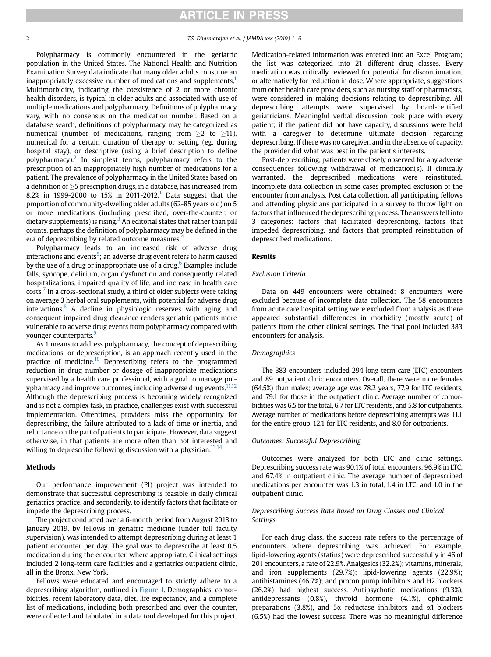Polypharmacy is commonly encountered in the geriatric population in the United States. The National Health and Nutrition Examination Survey data indicate that many older adults consume an inappropriately excessive number of medications and supplements.<sup>1</sup> Multimorbidity, indicating the coexistence of 2 or more chronic health disorders, is typical in older adults and associated with use of multiple medications and polypharmacy. Definitions of polypharmacy vary, with no consensus on the medication number. Based on a database search, definitions of polypharmacy may be categorized as numerical (number of medications, ranging from  $>2$  to  $>11$ ), numerical for a certain duration of therapy or setting (eg, during hospital stay), or descriptive (using a brief description to define polypharmacy). $2$  In simplest terms, polypharmacy refers to the prescription of an inappropriately high number of medications for a patient. The prevalence of polypharmacy in the United States based on a definition of  $>$  5 prescription drugs, in a database, has increased from 8.2% in [1](#page-5-0)999-2000 to 15% in 2011-2012.<sup>1</sup> Data suggest that the proportion of community-dwelling older adults (62-85 years old) on 5 or more medications (including prescribed, over-the-counter, or dietary supplements) is rising.<sup>[3](#page-5-0)</sup> An editorial states that rather than pill counts, perhaps the definition of polypharmacy may be defined in the era of deprescribing by related outcome measures.<sup>[4](#page-5-0)</sup>

Polypharmacy leads to an increased risk of adverse drug interactions and events $^5;$  an adverse drug event refers to harm caused by the use of a drug or inappropriate use of a drug. $6$  Examples include falls, syncope, delirium, organ dysfunction and consequently related hospitalizations, impaired quality of life, and increase in health care  $costs<sup>7</sup>$  In a cross-sectional study, a third of older subjects were taking on average 3 herbal oral supplements, with potential for adverse drug interactions.<sup>8</sup> A decline in physiologic reserves with aging and consequent impaired drug clearance renders geriatric patients more vulnerable to adverse drug events from polypharmacy compared with younger counterparts.<sup>9</sup>

As 1 means to address polypharmacy, the concept of deprescribing medications, or deprescription, is an approach recently used in the practice of medicine.<sup>[10](#page-5-0)</sup> Deprescribing refers to the programmed reduction in drug number or dosage of inappropriate medications supervised by a health care professional, with a goal to manage polypharmacy and improve outcomes, including adverse drug events.<sup>11,12</sup> Although the deprescribing process is becoming widely recognized and is not a complex task, in practice, challenges exist with successful implementation. Oftentimes, providers miss the opportunity for deprescribing, the failure attributed to a lack of time or inertia, and reluctance on the part of patients to participate. However, data suggest otherwise, in that patients are more often than not interested and willing to deprescribe following discussion with a physician.<sup>13,[14](#page-5-0)</sup>

#### Methods

Our performance improvement (PI) project was intended to demonstrate that successful deprescribing is feasible in daily clinical geriatrics practice, and secondarily, to identify factors that facilitate or impede the deprescribing process.

The project conducted over a 6-month period from August 2018 to January 2019, by fellows in geriatric medicine (under full faculty supervision), was intended to attempt deprescribing during at least 1 patient encounter per day. The goal was to deprescribe at least 0.5 medication during the encounter, where appropriate. Clinical settings included 2 long-term care facilities and a geriatrics outpatient clinic, all in the Bronx, New York.

Fellows were educated and encouraged to strictly adhere to a deprescribing algorithm, outlined in [Figure 1.](#page-2-0) Demographics, comorbidities, recent laboratory data, diet, life expectancy, and a complete list of medications, including both prescribed and over the counter, were collected and tabulated in a data tool developed for this project.

Medication-related information was entered into an Excel Program; the list was categorized into 21 different drug classes. Every medication was critically reviewed for potential for discontinuation, or alternatively for reduction in dose. Where appropriate, suggestions from other health care providers, such as nursing staff or pharmacists, were considered in making decisions relating to deprescribing. All deprescribing attempts were supervised by board-certified geriatricians. Meaningful verbal discussion took place with every patient; if the patient did not have capacity, discussions were held with a caregiver to determine ultimate decision regarding deprescribing. If there was no caregiver, and in the absence of capacity, the provider did what was best in the patient's interests.

Post-deprescribing, patients were closely observed for any adverse consequences following withdrawal of medication(s). If clinically warranted, the deprescribed medications were reinstituted. Incomplete data collection in some cases prompted exclusion of the encounter from analysis. Post data collection, all participating fellows and attending physicians participated in a survey to throw light on factors that influenced the deprescribing process. The answers fell into 3 categories: factors that facilitated deprescribing, factors that impeded deprescribing, and factors that prompted reinstitution of deprescribed medications.

### Results

### Exclusion Criteria

Data on 449 encounters were obtained; 8 encounters were excluded because of incomplete data collection. The 58 encounters from acute care hospital setting were excluded from analysis as there appeared substantial differences in morbidity (mostly acute) of patients from the other clinical settings. The final pool included 383 encounters for analysis.

#### Demographics

The 383 encounters included 294 long-term care (LTC) encounters and 89 outpatient clinic encounters. Overall, there were more females (64.5%) than males; average age was 78.2 years, 77.9 for LTC residents, and 79.1 for those in the outpatient clinic. Average number of comorbidities was 6.5 for the total, 6.7 for LTC residents, and 5.8 for outpatients. Average number of medications before deprescribing attempts was 11.1 for the entire group, 12.1 for LTC residents, and 8.0 for outpatients.

#### Outcomes: Successful Deprescribing

Outcomes were analyzed for both LTC and clinic settings. Deprescribing success rate was 90.1% of total encounters, 96.9% in LTC, and 67.4% in outpatient clinic. The average number of deprescribed medications per encounter was 1.3 in total, 1.4 in LTC, and 1.0 in the outpatient clinic.

#### Deprescribing Success Rate Based on Drug Classes and Clinical Settings

For each drug class, the success rate refers to the percentage of encounters where deprescribing was achieved. For example, lipid-lowering agents (statins) were deprescribed successfully in 46 of 201 encounters, a rate of 22.9%. Analgesics (32.2%); vitamins, minerals, and iron supplements (29.7%); lipid-lowering agents (22.9%); antihistamines (46.7%); and proton pump inhibitors and H2 blockers (26.2%) had highest success. Antipsychotic medications (9.3%), antidepressants (0.8%), thyroid hormone (4.1%), ophthalmic preparations (3.8%), and 5 $\alpha$  reductase inhibitors and  $\alpha$ 1-blockers (6.5%) had the lowest success. There was no meaningful difference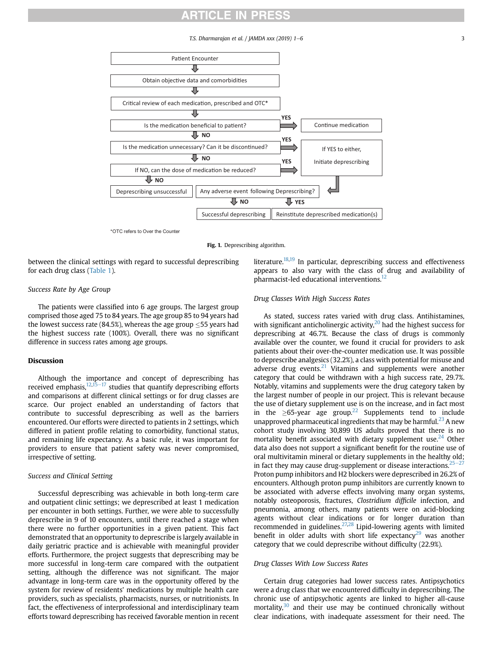T.S. Dharmarajan et al.  $/$  JAMDA xxx (2019) 1-6  $\frac{1}{2}$  3

<span id="page-2-0"></span>

\*OTC refers to Over the Counter

Fig. 1. Deprescribing algorithm.

between the clinical settings with regard to successful deprescribing for each drug class ([Table 1\)](#page-3-0).

#### Success Rate by Age Group

The patients were classified into 6 age groups. The largest group comprised those aged 75 to 84 years. The age group 85 to 94 years had the lowest success rate (84.5%), whereas the age group  $\leq$  55 years had the highest success rate (100%). Overall, there was no significant difference in success rates among age groups.

#### Discussion

Although the importance and concept of deprescribing has received emphasis, $12,15-17$  $12,15-17$  $12,15-17$  studies that quantify deprescribing efforts and comparisons at different clinical settings or for drug classes are scarce. Our project enabled an understanding of factors that contribute to successful deprescribing as well as the barriers encountered. Our efforts were directed to patients in 2 settings, which differed in patient profile relating to comorbidity, functional status, and remaining life expectancy. As a basic rule, it was important for providers to ensure that patient safety was never compromised, irrespective of setting.

#### Success and Clinical Setting

Successful deprescribing was achievable in both long-term care and outpatient clinic settings; we deprescribed at least 1 medication per encounter in both settings. Further, we were able to successfully deprescribe in 9 of 10 encounters, until there reached a stage when there were no further opportunities in a given patient. This fact demonstrated that an opportunity to deprescribe is largely available in daily geriatric practice and is achievable with meaningful provider efforts. Furthermore, the project suggests that deprescribing may be more successful in long-term care compared with the outpatient setting, although the difference was not significant. The major advantage in long-term care was in the opportunity offered by the system for review of residents' medications by multiple health care providers, such as specialists, pharmacists, nurses, or nutritionists. In fact, the effectiveness of interprofessional and interdisciplinary team efforts toward deprescribing has received favorable mention in recent literature. $18,19$  In particular, deprescribing success and effectiveness appears to also vary with the class of drug and availability of pharmacist-led educational interventions.[12](#page-5-0)

#### Drug Classes With High Success Rates

As stated, success rates varied with drug class. Antihistamines, with significant anticholinergic activity, $20$  had the highest success for deprescribing at 46.7%. Because the class of drugs is commonly available over the counter, we found it crucial for providers to ask patients about their over-the-counter medication use. It was possible to deprescribe analgesics (32.2%), a class with potential for misuse and adverse drug events. $21$  Vitamins and supplements were another category that could be withdrawn with a high success rate, 29.7%. Notably, vitamins and supplements were the drug category taken by the largest number of people in our project. This is relevant because the use of dietary supplement use is on the increase, and in fact most in the  $\geq$ 65-year age group.<sup>[22](#page-5-0)</sup> Supplements tend to include unapproved pharmaceutical ingredients that may be harmful.<sup>[23](#page-5-0)</sup> A new cohort study involving 30,899 US adults proved that there is no mortality benefit associated with dietary supplement use.<sup>[24](#page-5-0)</sup> Other data also does not support a significant benefit for the routine use of oral multivitamin mineral or dietary supplements in the healthy old; in fact they may cause drug-supplement or disease interactions.<sup>[25](#page-5-0)–[27](#page-5-0)</sup> Proton pump inhibitors and H2 blockers were deprescribed in 26.2% of encounters. Although proton pump inhibitors are currently known to be associated with adverse effects involving many organ systems, notably osteoporosis, fractures, Clostridium difficile infection, and pneumonia, among others, many patients were on acid-blocking agents without clear indications or for longer duration than recommended in guidelines[.27,28](#page-5-0) Lipid-lowering agents with limited benefit in older adults with short life expectancy<sup>29</sup> was another category that we could deprescribe without difficulty (22.9%).

#### Drug Classes With Low Success Rates

Certain drug categories had lower success rates. Antipsychotics were a drug class that we encountered difficulty in deprescribing. The chronic use of antipsychotic agents are linked to higher all-cause mortality, $30$  and their use may be continued chronically without clear indications, with inadequate assessment for their need. The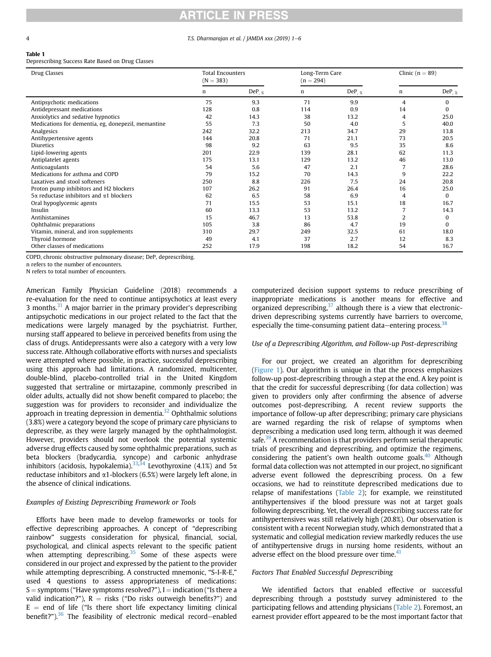#### <span id="page-3-0"></span>4 T.S. Dharmarajan et al. / JAMDA xxx (2019) 1-6

#### Table 1

Deprescribing Success Rate Based on Drug Classes

| Drug Classes                                           | <b>Total Encounters</b><br>$(N = 383)$ |            | Long-Term Care<br>$(n = 294)$ |                 | Clinic $(n = 89)$ |              |
|--------------------------------------------------------|----------------------------------------|------------|-------------------------------|-----------------|-------------------|--------------|
|                                                        | n                                      | DeP $_{x}$ | n                             | DeP $_{\alpha}$ | n                 | DeP $_{x}$   |
| Antipsychotic medications                              | 75                                     | 9.3        | 71                            | 9.9             | $\overline{4}$    | 0            |
| Antidepressant medications                             | 128                                    | 0.8        | 114                           | 0.9             | 14                | $\Omega$     |
| Anxiolytics and sedative hypnotics                     | 42                                     | 14.3       | 38                            | 13.2            | 4                 | 25.0         |
| Medications for dementia, eg, donepezil, memantine     | 55                                     | 7.3        | 50                            | 4.0             | 5                 | 40.0         |
| Analgesics                                             | 242                                    | 32.2       | 213                           | 34.7            | 29                | 13.8         |
| Antihypertensive agents                                | 144                                    | 20.8       | 71                            | 21.1            | 73                | 20.5         |
| <b>Diuretics</b>                                       | 98                                     | 9.2        | 63                            | 9.5             | 35                | 8.6          |
| Lipid-lowering agents                                  | 201                                    | 22.9       | 139                           | 28.1            | 62                | 11.3         |
| Antiplatelet agents                                    | 175                                    | 13.1       | 129                           | 13.2            | 46                | 13.0         |
| Anticoagulants                                         | 54                                     | 5.6        | 47                            | 2.1             |                   | 28.6         |
| Medications for asthma and COPD                        | 79                                     | 15.2       | 70                            | 14.3            | 9                 | 22.2         |
| Laxatives and stool softeners                          | 250                                    | 8.8        | 226                           | 7.5             | 24                | 20.8         |
| Proton pump inhibitors and H2 blockers                 | 107                                    | 26.2       | 91                            | 26.4            | 16                | 25.0         |
| $5\alpha$ reductase inhibitors and $\alpha$ 1 blockers | 62                                     | 6.5        | 58                            | 6.9             | $\overline{4}$    | $\mathbf{0}$ |
| Oral hypoglycemic agents                               | 71                                     | 15.5       | 53                            | 15.1            | 18                | 16.7         |
| Insulin                                                | 60                                     | 13.3       | 53                            | 13.2            |                   | 14.3         |
| Antihistamines                                         | 15                                     | 46.7       | 13                            | 53.8            | $\overline{2}$    | $\bf{0}$     |
| Ophthalmic preparations                                | 105                                    | 3.8        | 86                            | 4.7             | 19                | $\Omega$     |
| Vitamin, mineral, and iron supplements                 | 310                                    | 29.7       | 249                           | 32.5            | 61                | 18.0         |
| Thyroid hormone                                        | 49                                     | 4.1        | 37                            | 2.7             | 12                | 8.3          |
| Other classes of medications                           | 252                                    | 17.9       | 198                           | 18.2            | 54                | 16.7         |

COPD, chronic obstructive pulmonary disease; DeP, deprescribing.

n refers to the number of encounters.

N refers to total number of encounters.

American Family Physician Guideline (2018) recommends a re-evaluation for the need to continue antipsychotics at least every 3 months. $31$  A major barrier in the primary provider's deprescribing antipsychotic medications in our project related to the fact that the medications were largely managed by the psychiatrist. Further, nursing staff appeared to believe in perceived benefits from using the class of drugs. Antidepressants were also a category with a very low success rate. Although collaborative efforts with nurses and specialists were attempted where possible, in practice, successful deprescribing using this approach had limitations. A randomized, multicenter, double-blind, placebo-controlled trial in the United Kingdom suggested that sertraline or mirtazapine, commonly prescribed in older adults, actually did not show benefit compared to placebo; the suggestion was for providers to reconsider and individualize the approach in treating depression in dementia. $32$  Ophthalmic solutions (3.8%) were a category beyond the scope of primary care physicians to deprescribe, as they were largely managed by the ophthalmologist. However, providers should not overlook the potential systemic adverse drug effects caused by some ophthalmic preparations, such as beta blockers (bradycardia, syncope) and carbonic anhydrase inhibitors (acidosis, hypokalemia).<sup>[33,34](#page-5-0)</sup> Levothyroxine (4.1%) and 5 $\alpha$ reductase inhibitors and  $\alpha$ 1-blockers (6.5%) were largely left alone, in the absence of clinical indications.

### Examples of Existing Deprescribing Framework or Tools

Efforts have been made to develop frameworks or tools for effective deprescribing approaches. A concept of "deprescribing rainbow" suggests consideration for physical, financial, social, psychological, and clinical aspects relevant to the specific patient when attempting deprescribing. $35$  Some of these aspects were considered in our project and expressed by the patient to the provider while attempting deprescribing. A constructed mnemonic, "S-I-R-E," used 4 questions to assess appropriateness of medications:  $S =$  symptoms ("Have symptoms resolved?"), I = indication ("Is there a valid indication?"),  $R =$  risks ("Do risks outweigh benefits?") and  $E = end$  of life ("Is there short life expectancy limiting clinical benefit?"). $36$  The feasibility of electronic medical record-enabled

computerized decision support systems to reduce prescribing of inappropriate medications is another means for effective and organized deprescribing, $37$  although there is a view that electronicdriven deprescribing systems currently have barriers to overcome, especially the time-consuming patient data-entering process.<sup>38</sup>

#### Use of a Deprescribing Algorithm, and Follow-up Post-deprescribing

For our project, we created an algorithm for deprescribing [\(Figure 1\)](#page-2-0). Our algorithm is unique in that the process emphasizes follow-up post-deprescribing through a step at the end. A key point is that the credit for successful deprescribing (for data collection) was given to providers only after confirming the absence of adverse outcomes post-deprescribing. A recent review supports the importance of follow-up after deprescribing; primary care physicians are warned regarding the risk of relapse of symptoms when deprescribing a medication used long term, although it was deemed safe.<sup>[39](#page-5-0)</sup> A recommendation is that providers perform serial therapeutic trials of prescribing and deprescribing, and optimize the regimens, considering the patient's own health outcome goals.<sup>[40](#page-5-0)</sup> Although formal data collection was not attempted in our project, no significant adverse event followed the deprescribing process. On a few occasions, we had to reinstitute deprescribed medications due to relapse of manifestations [\(Table 2](#page-4-0)); for example, we reinstituted antihypertensives if the blood pressure was not at target goals following deprescribing. Yet, the overall deprescribing success rate for antihypertensives was still relatively high (20.8%). Our observation is consistent with a recent Norwegian study, which demonstrated that a systematic and collegial medication review markedly reduces the use of antihypertensive drugs in nursing home residents, without an adverse effect on the blood pressure over time. $41$ 

#### Factors That Enabled Successful Deprescribing

We identified factors that enabled effective or successful deprescribing through a poststudy survey administered to the participating fellows and attending physicians [\(Table 2\)](#page-4-0). Foremost, an earnest provider effort appeared to be the most important factor that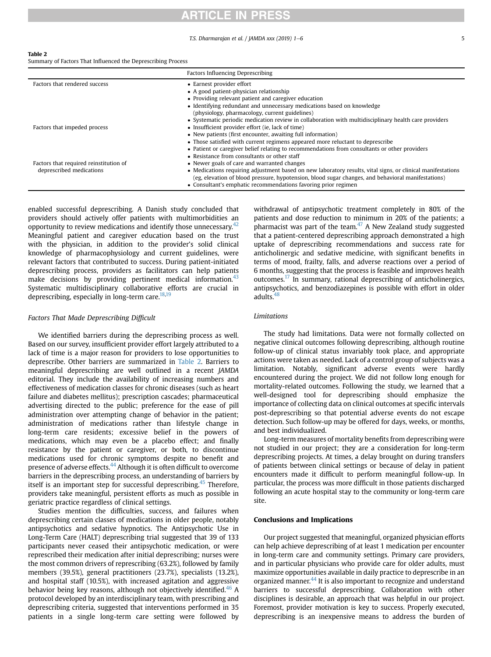<span id="page-4-0"></span>

| п.<br>H |  |
|---------|--|
|         |  |

Summary of Factors That Influenced the Deprescribing Process

|                                        | <b>Factors Influencing Deprescribing</b>                                                                    |
|----------------------------------------|-------------------------------------------------------------------------------------------------------------|
| Factors that rendered success          | • Earnest provider effort                                                                                   |
|                                        | • A good patient-physician relationship                                                                     |
|                                        | • Providing relevant patient and caregiver education                                                        |
|                                        | • Identifying redundant and unnecessary medications based on knowledge                                      |
|                                        | (physiology, pharmacology, current guidelines)                                                              |
|                                        | • Systematic periodic medication review in collaboration with multidisciplinary health care providers       |
| Factors that impeded process           | • Insufficient provider effort (ie, lack of time)                                                           |
|                                        | • New patients (first encounter, awaiting full information)                                                 |
|                                        | • Those satisfied with current regimens appeared more reluctant to deprescribe                              |
|                                        | • Patient or caregiver belief relating to recommendations from consultants or other providers               |
|                                        | • Resistance from consultants or other staff                                                                |
| Factors that required reinstitution of | • Newer goals of care and warranted changes                                                                 |
| deprescribed medications               | • Medications requiring adjustment based on new laboratory results, vital signs, or clinical manifestations |
|                                        | (eg, elevation of blood pressure, hypotension, blood sugar changes, and behavioral manifestations)          |
|                                        | • Consultant's emphatic recommendations favoring prior regimen                                              |

enabled successful deprescribing. A Danish study concluded that providers should actively offer patients with multimorbidities an opportunity to review medications and identify those unnecessary. $42$ Meaningful patient and caregiver education based on the trust with the physician, in addition to the provider's solid clinical knowledge of pharmacophysiology and current guidelines, were relevant factors that contributed to success. During patient-initiated deprescribing process, providers as facilitators can help patients make decisions by providing pertinent medical information. $43$ Systematic multidisciplinary collaborative efforts are crucial in deprescribing, especially in long-term care. $^{18,19}$  $^{18,19}$  $^{18,19}$ 

#### Factors That Made Deprescribing Difficult

We identified barriers during the deprescribing process as well. Based on our survey, insufficient provider effort largely attributed to a lack of time is a major reason for providers to lose opportunities to deprescribe. Other barriers are summarized in Table 2. Barriers to meaningful deprescribing are well outlined in a recent JAMDA editorial. They include the availability of increasing numbers and effectiveness of medication classes for chronic diseases (such as heart failure and diabetes mellitus); prescription cascades; pharmaceutical advertising directed to the public; preference for the ease of pill administration over attempting change of behavior in the patient; administration of medications rather than lifestyle change in long-term care residents; excessive belief in the powers of medications, which may even be a placebo effect; and finally resistance by the patient or caregiver, or both, to discontinue medications used for chronic symptoms despite no benefit and presence of adverse effects.<sup>44</sup> Although it is often difficult to overcome barriers in the deprescribing process, an understanding of barriers by itself is an important step for successful deprescribing.<sup>[45](#page-5-0)</sup> Therefore, providers take meaningful, persistent efforts as much as possible in geriatric practice regardless of clinical settings.

Studies mention the difficulties, success, and failures when deprescribing certain classes of medications in older people, notably antipsychotics and sedative hypnotics. The Antipsychotic Use in Long-Term Care (HALT) deprescribing trial suggested that 39 of 133 participants never ceased their antipsychotic medication, or were represcribed their medication after initial deprescribing; nurses were the most common drivers of represcribing (63.2%), followed by family members (39.5%), general practitioners (23.7%), specialists (13.2%), and hospital staff (10.5%), with increased agitation and aggressive behavior being key reasons, although not objectively identified.<sup>[46](#page-5-0)</sup> A protocol developed by an interdisciplinary team, with prescribing and deprescribing criteria, suggested that interventions performed in 35 patients in a single long-term care setting were followed by

withdrawal of antipsychotic treatment completely in 80% of the patients and dose reduction to minimum in 20% of the patients; a pharmacist was part of the team. $47$  A New Zealand study suggested that a patient-centered deprescribing approach demonstrated a high uptake of deprescribing recommendations and success rate for anticholinergic and sedative medicine, with significant benefits in terms of mood, frailty, falls, and adverse reactions over a period of 6 months, suggesting that the process is feasible and improves health outcomes[.17](#page-5-0) In summary, rational deprescribing of anticholinergics, antipsychotics, and benzodiazepines is possible with effort in older adults.<sup>48</sup>

#### Limitations

The study had limitations. Data were not formally collected on negative clinical outcomes following deprescribing, although routine follow-up of clinical status invariably took place, and appropriate actions were taken as needed. Lack of a control group of subjects was a limitation. Notably, significant adverse events were hardly encountered during the project. We did not follow long enough for mortality-related outcomes. Following the study, we learned that a well-designed tool for deprescribing should emphasize the importance of collecting data on clinical outcomes at specific intervals post-deprescribing so that potential adverse events do not escape detection. Such follow-up may be offered for days, weeks, or months, and best individualized.

Long-term measures of mortality benefits from deprescribing were not studied in our project; they are a consideration for long-term deprescribing projects. At times, a delay brought on during transfers of patients between clinical settings or because of delay in patient encounters made it difficult to perform meaningful follow-up. In particular, the process was more difficult in those patients discharged following an acute hospital stay to the community or long-term care site.

#### Conclusions and Implications

Our project suggested that meaningful, organized physician efforts can help achieve deprescribing of at least 1 medication per encounter in long-term care and community settings. Primary care providers, and in particular physicians who provide care for older adults, must maximize opportunities available in daily practice to deprescribe in an organized manner.<sup>44</sup> It is also important to recognize and understand barriers to successful deprescribing. Collaboration with other disciplines is desirable, an approach that was helpful in our project. Foremost, provider motivation is key to success. Properly executed, deprescribing is an inexpensive means to address the burden of